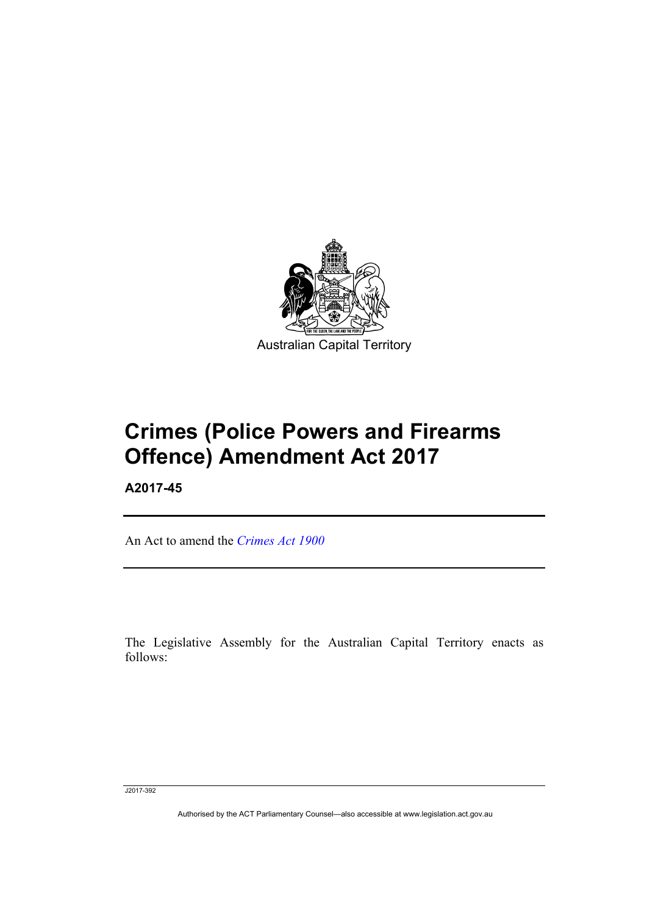

# **Crimes (Police Powers and Firearms Offence) Amendment Act 2017**

**A2017-45** 

l

An Act to amend the *[Crimes Act 1900](http://www.legislation.act.gov.au/a/1900-40)*

The Legislative Assembly for the Australian Capital Territory enacts as follows:

J2017-392

Authorised by the ACT Parliamentary Counsel—also accessible at www.legislation.act.gov.au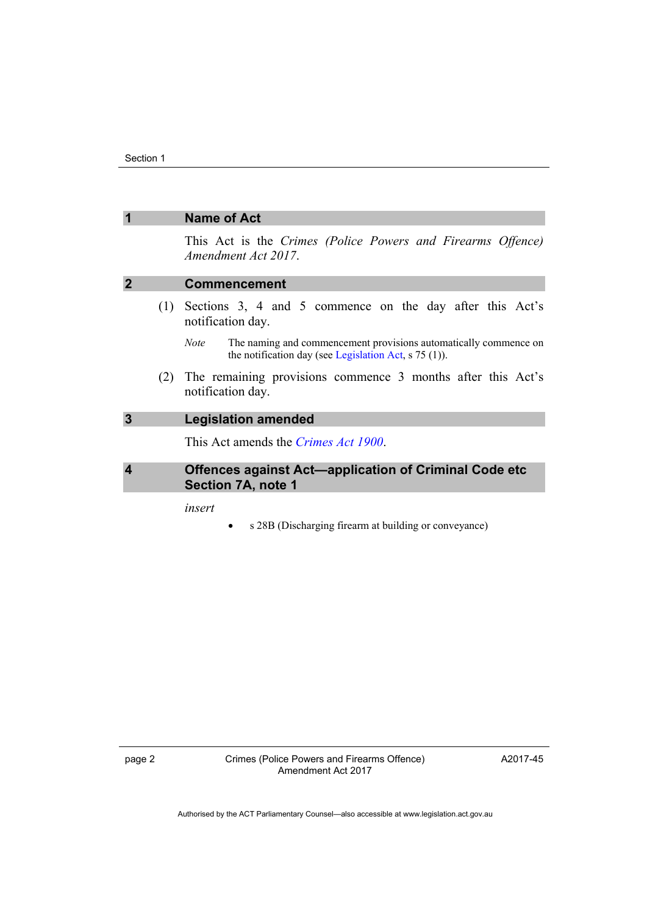|                  | <b>Name of Act</b>                                                                                                                         |
|------------------|--------------------------------------------------------------------------------------------------------------------------------------------|
|                  | This Act is the Crimes (Police Powers and Firearms Offence)<br>Amendment Act 2017.                                                         |
| $\mathbf 2$      | <b>Commencement</b>                                                                                                                        |
|                  | (1) Sections 3, 4 and 5 commence on the day after this Act's<br>notification day.                                                          |
|                  | The naming and commencement provisions automatically commence on<br><i>Note</i><br>the notification day (see Legislation Act, $s$ 75 (1)). |
| (2)              | The remaining provisions commence 3 months after this Act's<br>notification day.                                                           |
| $\overline{3}$   | <b>Legislation amended</b>                                                                                                                 |
|                  | This Act amends the <i>Crimes Act 1900</i> .                                                                                               |
| $\boldsymbol{4}$ | <b>Offences against Act-application of Criminal Code etc</b><br>Section 7A, note 1                                                         |
|                  | insert<br>s 28B (Discharging firearm at building or conveyance)                                                                            |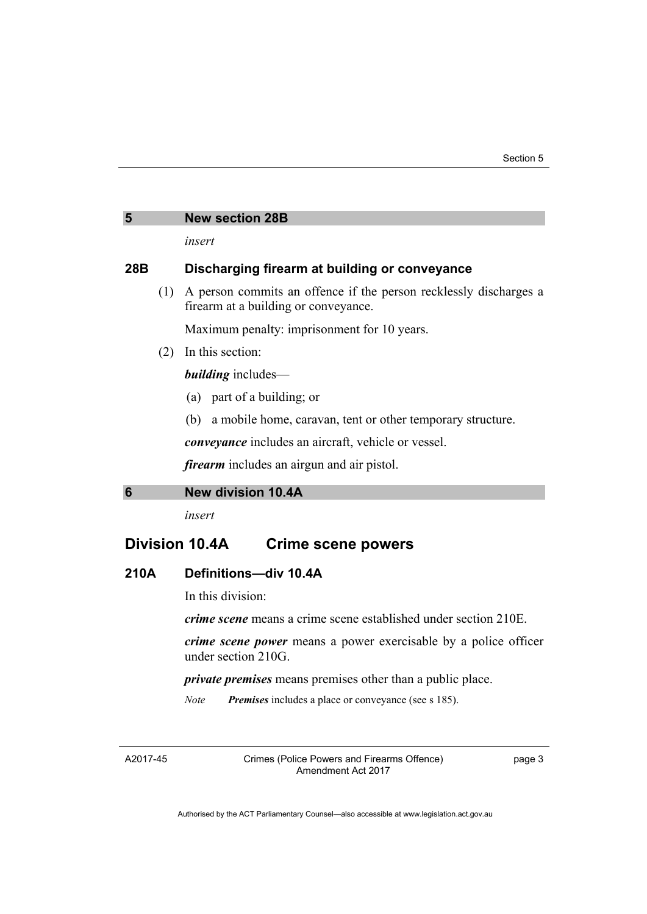# **5 New section 28B**

*insert* 

## **28B Discharging firearm at building or conveyance**

 (1) A person commits an offence if the person recklessly discharges a firearm at a building or conveyance.

Maximum penalty: imprisonment for 10 years.

(2) In this section:

*building* includes—

- (a) part of a building; or
- (b) a mobile home, caravan, tent or other temporary structure.

*conveyance* includes an aircraft, vehicle or vessel.

*firearm* includes an airgun and air pistol.

#### **6 New division 10.4A**

*insert* 

# **Division 10.4A Crime scene powers**

## **210A Definitions—div 10.4A**

In this division:

*crime scene* means a crime scene established under section 210E.

*crime scene power* means a power exercisable by a police officer under section 210G.

*private premises* means premises other than a public place.

*Note Premises* includes a place or conveyance (see s 185).

A2017-45

Crimes (Police Powers and Firearms Offence) Amendment Act 2017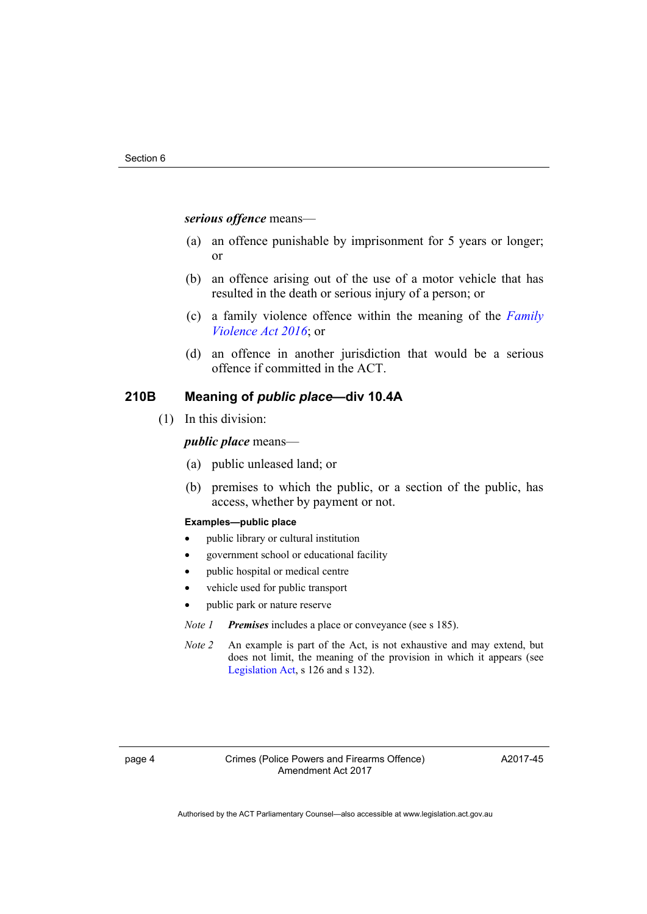#### *serious offence* means—

- (a) an offence punishable by imprisonment for 5 years or longer; or
- (b) an offence arising out of the use of a motor vehicle that has resulted in the death or serious injury of a person; or
- (c) a family violence offence within the meaning of the *[Family](http://www.legislation.act.gov.au/a/2016-42)  [Violence Act 2016](http://www.legislation.act.gov.au/a/2016-42)*; or
- (d) an offence in another jurisdiction that would be a serious offence if committed in the ACT.

### **210B Meaning of** *public place***—div 10.4A**

(1) In this division:

#### *public place* means—

- (a) public unleased land; or
- (b) premises to which the public, or a section of the public, has access, whether by payment or not.

#### **Examples—public place**

- public library or cultural institution
- government school or educational facility
- public hospital or medical centre
- vehicle used for public transport
- public park or nature reserve

*Note 1 Premises* includes a place or conveyance (see s 185).

*Note 2* An example is part of the Act, is not exhaustive and may extend, but does not limit, the meaning of the provision in which it appears (see [Legislation Act,](http://www.legislation.act.gov.au/a/2001-14) s 126 and s 132).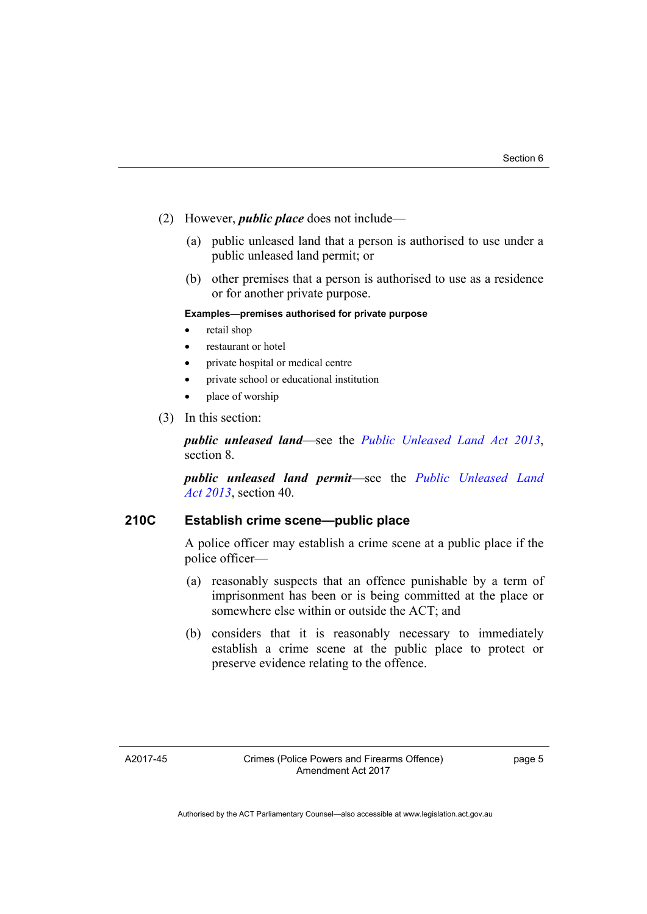- (2) However, *public place* does not include—
	- (a) public unleased land that a person is authorised to use under a public unleased land permit; or
	- (b) other premises that a person is authorised to use as a residence or for another private purpose.

#### **Examples—premises authorised for private purpose**

- retail shop
- restaurant or hotel
- private hospital or medical centre
- private school or educational institution
- place of worship
- (3) In this section:

*public unleased land*—see the *[Public Unleased Land Act 2013](http://www.legislation.act.gov.au/a/2013-3)*, section 8.

*public unleased land permit*—see the *[Public Unleased Land](http://www.legislation.act.gov.au/a/2013-3)  [Act 2013](http://www.legislation.act.gov.au/a/2013-3)*, section 40.

## **210C Establish crime scene—public place**

A police officer may establish a crime scene at a public place if the police officer—

- (a) reasonably suspects that an offence punishable by a term of imprisonment has been or is being committed at the place or somewhere else within or outside the ACT; and
- (b) considers that it is reasonably necessary to immediately establish a crime scene at the public place to protect or preserve evidence relating to the offence.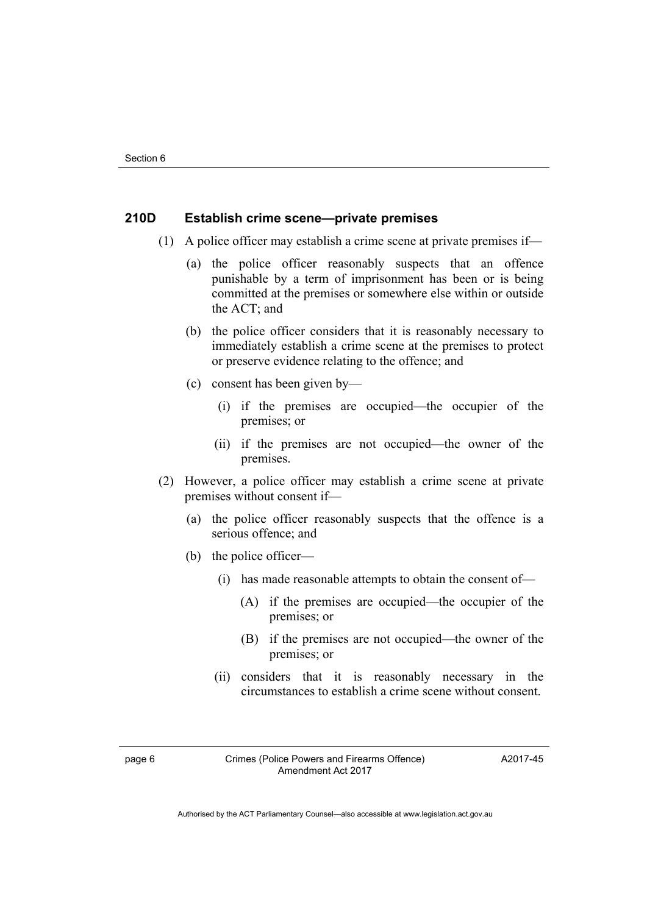### **210D Establish crime scene—private premises**

- (1) A police officer may establish a crime scene at private premises if—
	- (a) the police officer reasonably suspects that an offence punishable by a term of imprisonment has been or is being committed at the premises or somewhere else within or outside the ACT; and
	- (b) the police officer considers that it is reasonably necessary to immediately establish a crime scene at the premises to protect or preserve evidence relating to the offence; and
	- (c) consent has been given by—
		- (i) if the premises are occupied—the occupier of the premises; or
		- (ii) if the premises are not occupied—the owner of the premises.
- (2) However, a police officer may establish a crime scene at private premises without consent if—
	- (a) the police officer reasonably suspects that the offence is a serious offence; and
	- (b) the police officer—
		- (i) has made reasonable attempts to obtain the consent of—
			- (A) if the premises are occupied—the occupier of the premises; or
			- (B) if the premises are not occupied—the owner of the premises; or
		- (ii) considers that it is reasonably necessary in the circumstances to establish a crime scene without consent.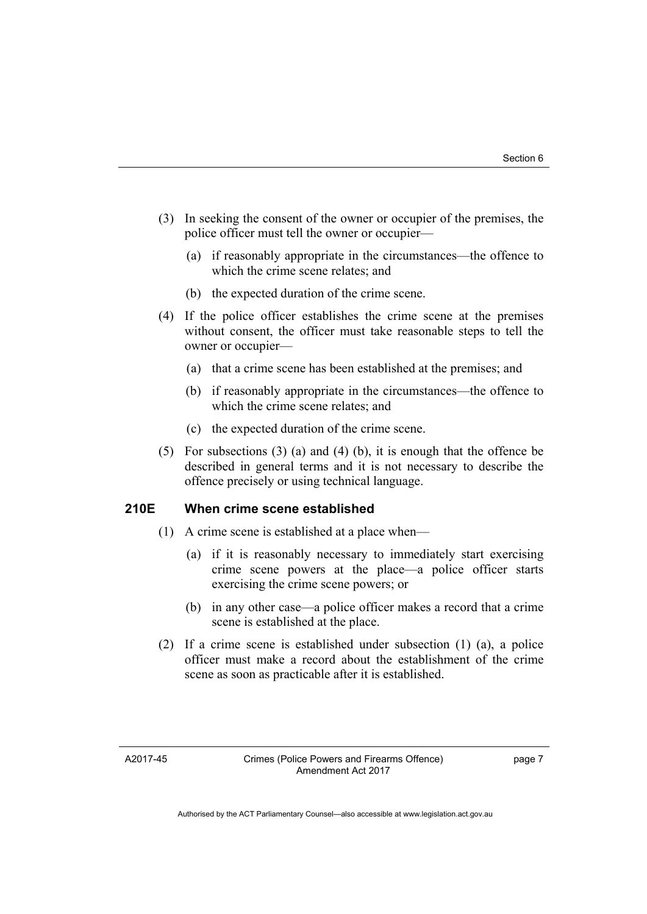- (3) In seeking the consent of the owner or occupier of the premises, the police officer must tell the owner or occupier—
	- (a) if reasonably appropriate in the circumstances—the offence to which the crime scene relates; and
	- (b) the expected duration of the crime scene.
- (4) If the police officer establishes the crime scene at the premises without consent, the officer must take reasonable steps to tell the owner or occupier—
	- (a) that a crime scene has been established at the premises; and
	- (b) if reasonably appropriate in the circumstances—the offence to which the crime scene relates; and
	- (c) the expected duration of the crime scene.
- (5) For subsections (3) (a) and (4) (b), it is enough that the offence be described in general terms and it is not necessary to describe the offence precisely or using technical language.

## **210E When crime scene established**

- (1) A crime scene is established at a place when—
	- (a) if it is reasonably necessary to immediately start exercising crime scene powers at the place—a police officer starts exercising the crime scene powers; or
	- (b) in any other case—a police officer makes a record that a crime scene is established at the place.
- (2) If a crime scene is established under subsection (1) (a), a police officer must make a record about the establishment of the crime scene as soon as practicable after it is established.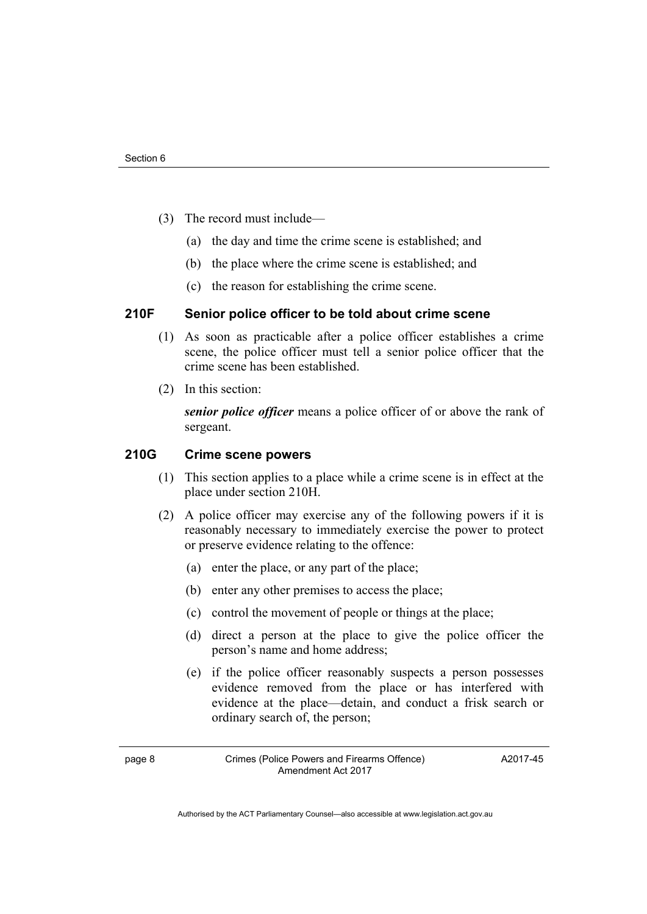- (3) The record must include—
	- (a) the day and time the crime scene is established; and
	- (b) the place where the crime scene is established; and
	- (c) the reason for establishing the crime scene.

## **210F Senior police officer to be told about crime scene**

- (1) As soon as practicable after a police officer establishes a crime scene, the police officer must tell a senior police officer that the crime scene has been established.
- (2) In this section:

*senior police officer* means a police officer of or above the rank of sergeant.

#### **210G Crime scene powers**

- (1) This section applies to a place while a crime scene is in effect at the place under section 210H.
- (2) A police officer may exercise any of the following powers if it is reasonably necessary to immediately exercise the power to protect or preserve evidence relating to the offence:
	- (a) enter the place, or any part of the place;
	- (b) enter any other premises to access the place;
	- (c) control the movement of people or things at the place;
	- (d) direct a person at the place to give the police officer the person's name and home address;
	- (e) if the police officer reasonably suspects a person possesses evidence removed from the place or has interfered with evidence at the place—detain, and conduct a frisk search or ordinary search of, the person;

page 8 Crimes (Police Powers and Firearms Offence) Amendment Act 2017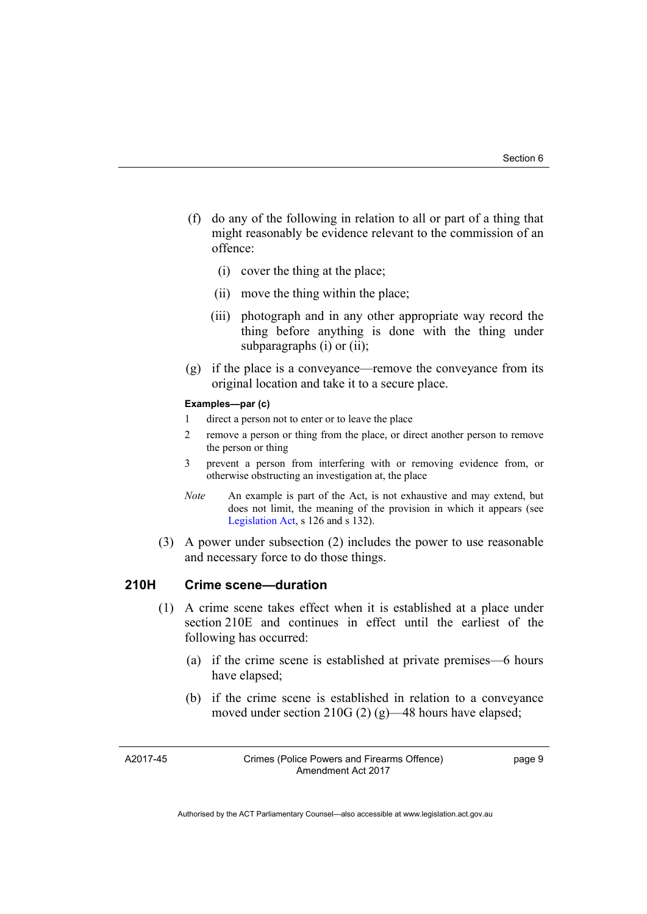- (f) do any of the following in relation to all or part of a thing that might reasonably be evidence relevant to the commission of an offence:
	- (i) cover the thing at the place;
	- (ii) move the thing within the place;
	- (iii) photograph and in any other appropriate way record the thing before anything is done with the thing under subparagraphs (i) or (ii);
- (g) if the place is a conveyance—remove the conveyance from its original location and take it to a secure place.

#### **Examples—par (c)**

- 1 direct a person not to enter or to leave the place
- 2 remove a person or thing from the place, or direct another person to remove the person or thing
- 3 prevent a person from interfering with or removing evidence from, or otherwise obstructing an investigation at, the place
- *Note* An example is part of the Act, is not exhaustive and may extend, but does not limit, the meaning of the provision in which it appears (see [Legislation Act,](http://www.legislation.act.gov.au/a/2001-14) s 126 and s 132).
- (3) A power under subsection (2) includes the power to use reasonable and necessary force to do those things.

#### **210H Crime scene—duration**

- (1) A crime scene takes effect when it is established at a place under section 210E and continues in effect until the earliest of the following has occurred:
	- (a) if the crime scene is established at private premises—6 hours have elapsed;
	- (b) if the crime scene is established in relation to a conveyance moved under section 210G (2) (g)—48 hours have elapsed;

A2017-45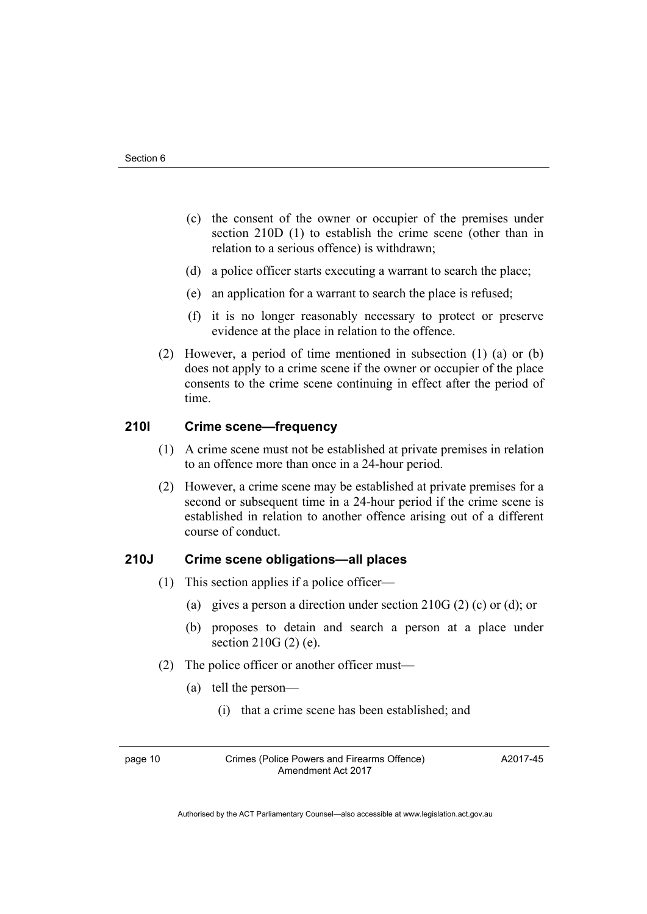- (c) the consent of the owner or occupier of the premises under section 210D (1) to establish the crime scene (other than in relation to a serious offence) is withdrawn;
- (d) a police officer starts executing a warrant to search the place;
- (e) an application for a warrant to search the place is refused;
- (f) it is no longer reasonably necessary to protect or preserve evidence at the place in relation to the offence.
- (2) However, a period of time mentioned in subsection (1) (a) or (b) does not apply to a crime scene if the owner or occupier of the place consents to the crime scene continuing in effect after the period of time.

## **210I Crime scene—frequency**

- (1) A crime scene must not be established at private premises in relation to an offence more than once in a 24-hour period.
- (2) However, a crime scene may be established at private premises for a second or subsequent time in a 24-hour period if the crime scene is established in relation to another offence arising out of a different course of conduct.

## **210J Crime scene obligations—all places**

- (1) This section applies if a police officer—
	- (a) gives a person a direction under section 210G (2) (c) or (d); or
	- (b) proposes to detain and search a person at a place under section 210G (2) (e).
- (2) The police officer or another officer must—
	- (a) tell the person—
		- (i) that a crime scene has been established; and

page 10 Crimes (Police Powers and Firearms Offence) Amendment Act 2017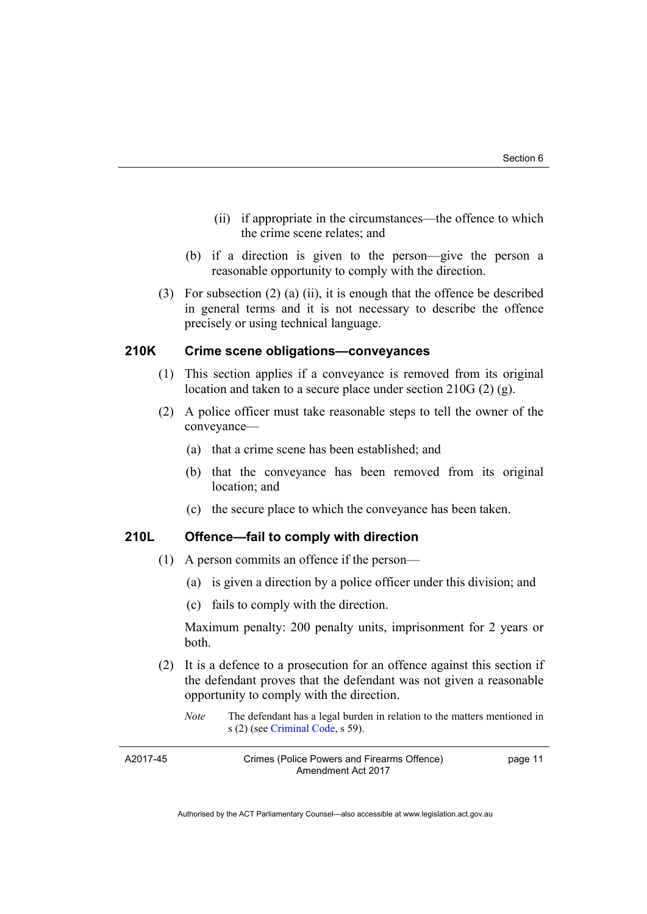- (ii) if appropriate in the circumstances—the offence to which the crime scene relates; and
- (b) if a direction is given to the person—give the person a reasonable opportunity to comply with the direction.
- (3) For subsection (2) (a) (ii), it is enough that the offence be described in general terms and it is not necessary to describe the offence precisely or using technical language.

## **210K Crime scene obligations—conveyances**

- (1) This section applies if a conveyance is removed from its original location and taken to a secure place under section 210G (2) (g).
- (2) A police officer must take reasonable steps to tell the owner of the conveyance—
	- (a) that a crime scene has been established; and
	- (b) that the conveyance has been removed from its original location; and
	- (c) the secure place to which the conveyance has been taken.

#### **210L Offence—fail to comply with direction**

- (1) A person commits an offence if the person—
	- (a) is given a direction by a police officer under this division; and
	- (c) fails to comply with the direction.

Maximum penalty: 200 penalty units, imprisonment for 2 years or both.

- (2) It is a defence to a prosecution for an offence against this section if the defendant proves that the defendant was not given a reasonable opportunity to comply with the direction.
	- *Note* The defendant has a legal burden in relation to the matters mentioned in s (2) (see [Criminal Code](http://www.legislation.act.gov.au/a/2002-51), s 59).

| A2017-45 | Crimes (Police Powers and Firearms Offence) | page 11 |
|----------|---------------------------------------------|---------|
|          | Amendment Act 2017                          |         |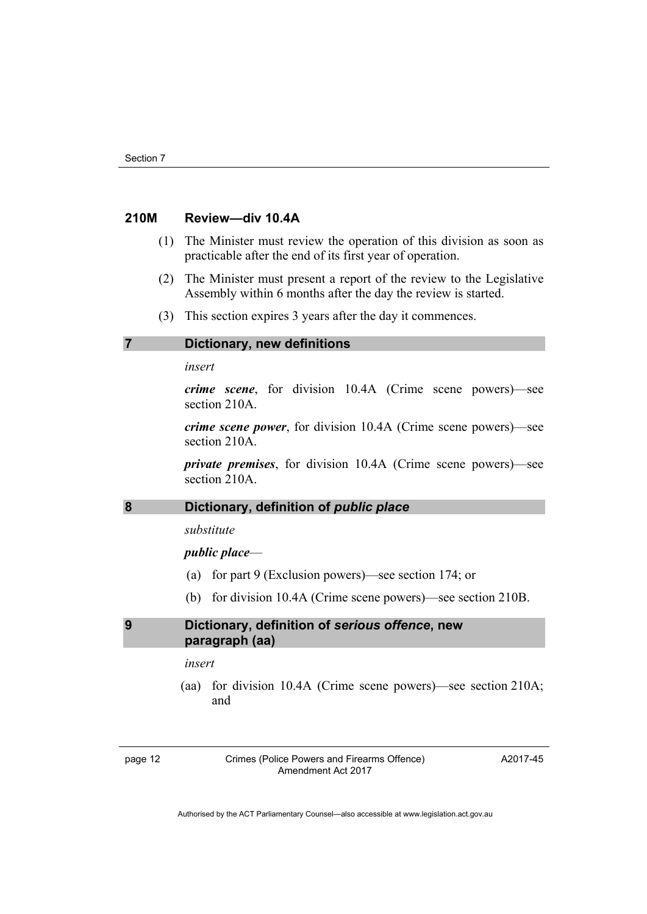### **210M Review—div 10.4A**

- (1) The Minister must review the operation of this division as soon as practicable after the end of its first year of operation.
- (2) The Minister must present a report of the review to the Legislative Assembly within 6 months after the day the review is started.
- (3) This section expires 3 years after the day it commences.

### **7 Dictionary, new definitions**

*insert* 

*crime scene*, for division 10.4A (Crime scene powers)—see section 210A.

*crime scene power*, for division 10.4A (Crime scene powers)—see section 210A.

*private premises*, for division 10.4A (Crime scene powers)—see section 210A.

## 8 **Dictionary, definition of** *public place*

*substitute* 

### *public place*—

- (a) for part 9 (Exclusion powers)—see section 174; or
- (b) for division 10.4A (Crime scene powers)—see section 210B.

### **9 Dictionary, definition of** *serious offence***, new paragraph (aa)**

*insert* 

 (aa) for division 10.4A (Crime scene powers)—see section 210A; and